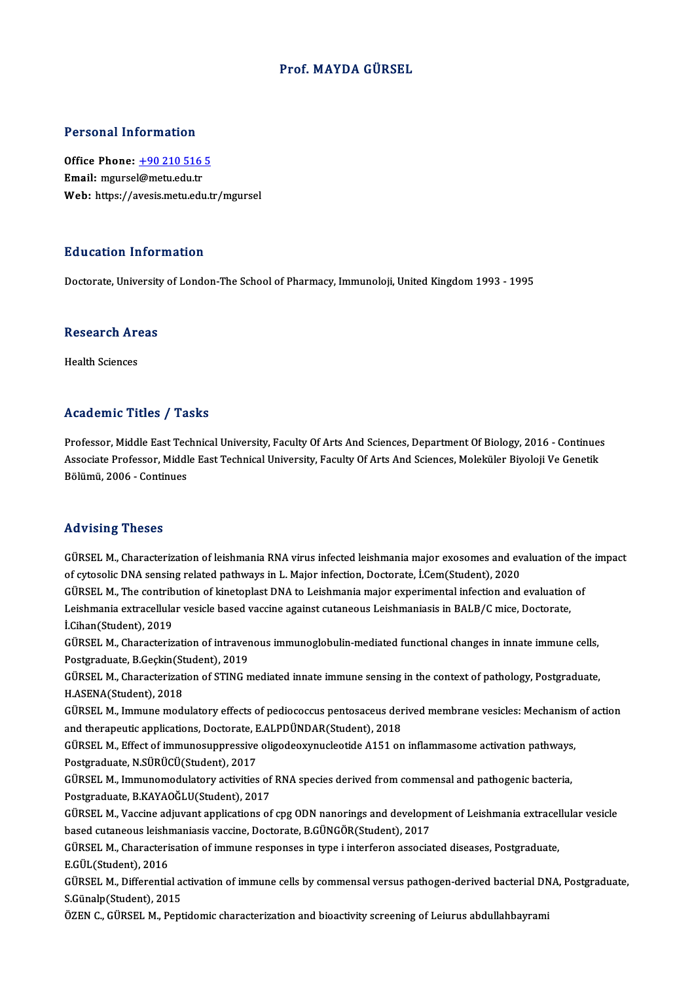#### Prof.MAYDA GÜRSEL

#### Personal Information

Personal Information<br>Office Phone: <u>+90 210 516 5</u><br>Email: maureel@metu.edu.tr office Phone: <u>+90 210 516</u><br>Email: mgurse[l@metu.edu.tr](tel:+90 210 516 5)<br>Web: https://avesis.metu.edu.tr Email: mgursel@metu.edu.tr<br>Web: https://avesis.metu.edu.tr/mgursel

#### Education Information

Doctorate, University of London-The School of Pharmacy, Immunoloji, United Kingdom 1993 - 1995

## Doctorate, University<br>Research Areas R<mark>esearch Ar</mark><br>Health Sciences

# Academic Titles / Tasks

Academic Titles / Tasks<br>Professor, Middle East Technical University, Faculty Of Arts And Sciences, Department Of Biology, 2016 - Continues<br>Assesiste Professor, Middle Fost Technical University, Faculty Of Arts And Sciences Associate Artics / Adsks<br>Professor, Middle East Technical University, Faculty Of Arts And Sciences, Department Of Biology, 2016 - Continues<br>Associate Professor, Middle East Technical University, Faculty Of Arts And Science Associate Professor, Middle East Technical University, Faculty Of Arts And Sciences, Moleküler Biyoloji Ve Genetik<br>Bölümü, 2006 - Continues

#### Advising Theses

Advising Theses<br>GÜRSEL M., Characterization of leishmania RNA virus infected leishmania major exosomes and evaluation of the impact<br>of gyteoelis DNA consing related pathways in L. Major infection, Desterate, L.Com(Student) of cytosolic DNA sensing related pathwania RNA virus infected leishmania major exosomes and every consider the<br>of cytosolic DNA sensing related pathways in L. Major infection, Doctorate, İ.Cem(Student), 2020<br>CÜBSEL M. The GÜRSEL M., Characterization of leishmania RNA virus infected leishmania major exosomes and evaluation of th<br>of cytosolic DNA sensing related pathways in L. Major infection, Doctorate, İ.Cem(Student), 2020<br>GÜRSEL M., The co of cytosolic DNA sensing related pathways in L. Major infection, Doctorate, İ.Cem(Student), 2020<br>GÜRSEL M., The contribution of kinetoplast DNA to Leishmania major experimental infection and evaluation<br>Leishmania extracell GÜRSEL M., The contrib<br>Leishmania extracellula<br>İ.Cihan(Student), 2019<br>CÜRSEL M. Charactariz Leishmania extracellular vesicle based vaccine against cutaneous Leishmaniasis in BALB/C mice, Doctorate,<br>İ.Cihan(Student), 2019<br>GÜRSEL M., Characterization of intravenous immunoglobulin-mediated functional changes in inna **İ.Cihan(Student), 2019<br>GÜRSEL M., Characterization of intraver<br>Postgraduate, B.Geçkin(Student), 2019**<br>GÜRSEL M. Charasterization of STING p GÜRSEL M., Characterization of intravenous immunoglobulin-mediated functional changes in innate immune cells,<br>Postgraduate, B.Geçkin(Student), 2019<br>GÜRSEL M., Characterization of STING mediated innate immune sensing in the Postgraduate, B.Geçkin(Student), 2019<br>GÜRSEL M., Characterization of STING mediated innate immune sensing in the context of pathology, Postgraduate,<br>H.ASENA(Student), 2018 GÜRSEL M., Characterization of STING mediated innate immune sensing in the context of pathology, Postgraduate,<br>H.ASENA(Student), 2018<br>GÜRSEL M., Immune modulatory effects of pediococcus pentosaceus derived membrane vesicle H.ASENA(Student), 2018<br>GÜRSEL M., Immune modulatory effects of pediococcus pentosaceus der<br>and therapeutic applications, Doctorate, E.ALPDÜNDAR(Student), 2018<br>CÜRSEL M. Effect of immunesuppressive eligedeevynucleatide A151 GÜRSEL M., Immune modulatory effects of pediococcus pentosaceus derived membrane vesicles: Mechanism<br>and therapeutic applications, Doctorate, E.ALPDÜNDAR(Student), 2018<br>GÜRSEL M., Effect of immunosuppressive oligodeoxynucl and therapeutic applications, Doctorate, E<br>GÜRSEL M., Effect of immunosuppressive<br>Postgraduate, N.SÜRÜCÜ(Student), 2017<br>CÜRSEL M. Immunomodulatoru activities GÜRSEL M., Effect of immunosuppressive oligodeoxynucleotide A151 on inflammasome activation pathways<br>Postgraduate, N.SÜRÜCÜ(Student), 2017<br>GÜRSEL M., Immunomodulatory activities of RNA species derived from commensal and pa Postgraduate, N.SÜRÜCÜ(Student), 2017<br>GÜRSEL M., Immunomodulatory activities of RNA species derived from commensal and pathogenic bacteria,<br>Postgraduate, B.KAYAOĞLU(Student), 2017 GÜRSEL M., Immunomodulatory activities of RNA species derived from commensal and pathogenic bacteria,<br>Postgraduate, B.KAYAOĞLU(Student), 2017<br>GÜRSEL M., Vaccine adjuvant applications of cpg ODN nanorings and development of Postgraduate, B.KAYAOĞLU(Student), 2017<br>GÜRSEL M., Vaccine adjuvant applications of cpg ODN nanorings and developn<br>based cutaneous leishmaniasis vaccine, Doctorate, B.GÜNGÖR(Student), 2017<br>CÜRSEL M. Characterisation of imm GÜRSEL M., Vaccine adjuvant applications of cpg ODN nanorings and development of Leishmania extracel<br>based cutaneous leishmaniasis vaccine, Doctorate, B.GÜNGÖR(Student), 2017<br>GÜRSEL M., Characterisation of immune responses based cutaneous leishmaniasis vaccine, Doctorate, B.GÜNGÖR(Student), 2017<br>GÜRSEL M., Characterisation of immune responses in type i interferon associated diseases, Postgraduate,<br>E.GÜL(Student), 2016 GÜRSEL M., Characterisation of immune responses in type i interferon associated diseases, Postgraduate,<br>E.GÜL(Student), 2016<br>GÜRSEL M., Differential activation of immune cells by commensal versus pathogen-derived bacterial E.GÜL(Student), 2016<br>GÜRSEL M., Differential a<br>S.Günalp(Student), 2015<br>ÖZEN C. CÜRSEL M. Bent GÜRSEL M., Differential activation of immune cells by commensal versus pathogen-derived bacterial DN<br>S.Günalp(Student), 2015<br>ÖZEN C., GÜRSEL M., Peptidomic characterization and bioactivity screening of Leiurus abdullahbayr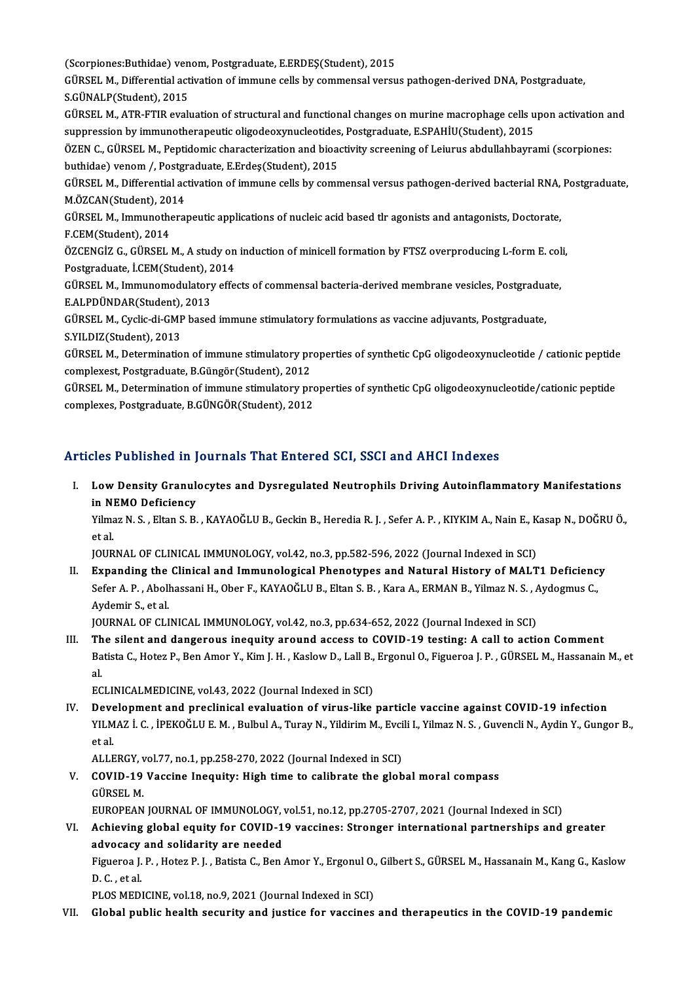(Scorpiones:Buthidae) venom, Postgraduate, E.ERDEŞ(Student), 2015<br>CÜRSEL M. Differential estivation of immune selle by semmensel versu

GÜRSEL M., Differential activation of immune cells by commensal versus pathogen-derived DNA, Postgraduate,<br>S.GÜNALP(Student), 2015 (Scorpiones:Buthidae) ven<br>GÜRSEL M., Differential act<br>S.GÜNALP(Student), 2015<br>GÜBSEL M., ATB, ETIB avalı GÜRSEL M., Differential activation of immune cells by commensal versus pathogen-derived DNA, Postgraduate,<br>S.GÜNALP(Student), 2015<br>GÜRSEL M., ATR-FTIR evaluation of structural and functional changes on murine macrophage ce

S.GÜNALP(Student), 2015<br>GÜRSEL M., ATR-FTIR evaluation of structural and functional changes on murine macrophage cells u<br>suppression by immunotherapeutic oligodeoxynucleotides, Postgraduate, E.SPAHİU(Student), 2015<br>ÖZEN C. GÜRSEL M., ATR-FTIR evaluation of structural and functional changes on murine macrophage cells upon activation a<br>suppression by immunotherapeutic oligodeoxynucleotides, Postgraduate, E.SPAHİU(Student), 2015<br>ÖZEN C., GÜRSEL

suppression by immunotherapeutic oligodeoxynucleotides, Postgraduate, E.SPAHİU(Student), 2015<br>ÖZEN C., GÜRSEL M., Peptidomic characterization and bioactivity screening of Leiurus abdullahbayrami (scorpiones:<br>buthidae) veno ÖZEN C., GÜRSEL M., Peptidomic characterization and bioactivity screening of Leiurus abdullahbayrami (scorpiones:<br>buthidae) venom /, Postgraduate, E.Erdeş(Student), 2015<br>GÜRSEL M., Differential activation of immune cells b buthidae) venom /, Postgraduate, E.Erdeș(Student), 2015

GÜRSEL M., Differential activation of immune cells by commensal versus pathogen-derived bacterial RNA,<br>M.ÖZCAN(Student), 2014<br>GÜRSEL M., Immunotherapeutic applications of nucleic acid based tlr agonists and antagonists, Do

M.ÖZCAN(Student), 20<br>GÜRSEL M., Immunothe<br>F.CEM(Student), 2014<br>ÖZCENCİZ C. CÜRSEL 1 GÜRSEL M., Immunotherapeutic applications of nucleic acid based tlr agonists and antagonists, Doctorate,<br>F.CEM(Student), 2014<br>ÖZCENGİZ G., GÜRSEL M., A study on induction of minicell formation by FTSZ overproducing L-form

F.CEM(Student), 2014<br>ÖZCENGİZ G., GÜRSEL M., A study on<br>Postgraduate, İ.CEM(Student), 2014<br>CÜRSEL M. Immunomodulatoru effe ÖZCENGİZ G., GÜRSEL M., A study on induction of minicell formation by FTSZ overproducing L-form E. col<br>Postgraduate, İ.CEM(Student), 2014<br>GÜRSEL M., Immunomodulatory effects of commensal bacteria-derived membrane vesicles,

Postgraduate, İ.CEM(Student), 2<br>GÜRSEL M., Immunomodulatory<br>E.ALPDÜNDAR(Student), 2013<br>CÜBSEL M. Cyslia di CMB based GÜRSEL M., Immunomodulatory effects of commensal bacteria-derived membrane vesicles, Postgradua<br>E.ALPDÜNDAR(Student), 2013<br>GÜRSEL M., Cyclic-di-GMP based immune stimulatory formulations as vaccine adjuvants, Postgraduate,<br>

E.ALPDÜNDAR(Student), 2013<br>GÜRSEL M., Cyclic-di-GMP based immune stimulatory formulations as vaccine adjuvants, Postgraduate,<br>S.YILDIZ(Student), 2013

GÜRSEL M., Determination of immune stimulatory properties of synthetic CpG oligodeoxynucleotide / cationic peptide complexest,Postgraduate,B.Güngör(Student),2012 GÜRSEL M., Determination of immune stimulatory properties of synthetic CpG oligodeoxynucleotide / cationic peptide<br>complexest, Postgraduate, B.Güngör(Student), 2012<br>GÜRSEL M., Determination of immune stimulatory properties

complexest, Postgraduate, B.Güngör(Student), 2012<br>GÜRSEL M., Determination of immune stimulatory pro<br>complexes, Postgraduate, B.GÜNGÖR(Student), 2012

# complexes, Postgraduate, B.GÜNGÖR(Student), 2012<br>Articles Published in Journals That Entered SCI, SSCI and AHCI Indexes

rticles Published in Journals That Entered SCI, SSCI and AHCI Indexes<br>I. Low Density Granulocytes and Dysregulated Neutrophils Driving Autoinflammatory Manifestations<br>in NEMO Deficiency inco Published III J<br>Low Density Granule<br>in NEMO Deficiency<br>Vilmas N. S. Eltan S. P. Low Density Granulocytes and Dysregulated Neutrophils Driving Autoinflammatory Manifestations<br>in NEMO Deficiency<br>Yilmaz N. S. , Eltan S. B. , KAYAOĞLU B., Geckin B., Heredia R. J. , Sefer A. P. , KIYKIM A., Nain E., Kasap

in NEMO Deficiency<br>Yilmaz N. S. , Eltan S. B. , KAYAOĞLU B., Geckin B., Heredia R. J. , Sefer A. P. , KIYKIM A., Nain E., Kasap N., DOĞRU Ö.,<br>et al.

JOURNAL OF CLINICAL IMMUNOLOGY, vol.42, no.3, pp.582-596, 2022 (Journal Indexed in SCI)

et al.<br>I . I . Expanding the Clinical and Immunological Phenotypes and Natural History of MALT1 Deficiency<br>I . Expanding the Clinical and Immunological Phenotypes and Natural History of MALT1 Deficiency<br>Sefen A. B. Abelbes JOURNAL OF CLINICAL IMMUNOLOGY, vol.42, no.3, pp.582-596, 2022 (Journal Indexed in SCI)<br>Expanding the Clinical and Immunological Phenotypes and Natural History of MALT1 Deficienc<br>Sefer A. P. , Abolhassani H., Ober F., KAYA Expanding the<br>Sefer A. P. , Aboll<br>Aydemir S., et al.<br>JOUPMAL OF CLI Sefer A. P. , Abolhassani H., Ober F., KAYAOĞLU B., Eltan S. B. , Kara A., ERMAN B., Yilmaz N. S. , Aydogmus C.,<br>Aydemir S., et al.<br>JOURNAL OF CLINICAL IMMUNOLOGY, vol.42, no.3, pp.634-652, 2022 (Journal Indexed in SCI)

III. The silent and dangerous inequity around access to COVID-19 testing: A call to action Comment JOURNAL OF CLINICAL IMMUNOLOGY, vol.42, no.3, pp.634-652, 2022 (Journal Indexed in SCI)<br>The silent and dangerous inequity around access to COVID-19 testing: A call to action Comment<br>Batista C., Hotez P., Ben Amor Y., Kim J Th<br>Ba<br>al Batista C., Hotez P., Ben Amor Y., Kim J. H. , Kaslow D., Lall B.,<br>al.<br>ECLINICALMEDICINE, vol.43, 2022 (Journal Indexed in SCI)<br>Development and preclinisel evoluation of virus like al.<br>IV. Development and preclinical evaluation of virus-like particle vaccine against COVID-19 infection<br>IV. Development and preclinical evaluation of virus-like particle vaccine against COVID-19 infection

ECLINICALMEDICINE, vol.43, 2022 (Journal Indexed in SCI)<br>Development and preclinical evaluation of virus-like particle vaccine against COVID-19 infection<br>YILMAZ İ. C. , İPEKOĞLU E. M. , Bulbul A., Turay N., Yildirim M., Ev **Deve**<br>YILM<br>et al. YILMAZ İ. C. , İPEKOĞLU E. M. , Bulbul A., Turay N., Yildirim M., Evci<br>et al.<br>ALLERGY, vol.77, no.1, pp.258-270, 2022 (Journal Indexed in SCI)<br>COVID 19 Vassine Inequity: Hish time te selihrata the sleh

ALLERGY, vol.77, no.1, pp.258-270, 2022 (Journal Indexed in SCI)

et al.<br>ALLERGY, vol.77, no.1, pp.258-270, 2022 (Journal Indexed in SCI)<br>V. COVID-19 Vaccine Inequity: High time to calibrate the global moral compass<br>GÜRSEL M. COVID-19 Vaccine Inequity: High time to calibrate the global moral compass<br>GÜRSEL M.<br>EUROPEAN JOURNAL OF IMMUNOLOGY, vol.51, no.12, pp.2705-2707, 2021 (Journal Indexed in SCI)<br>Achieving global cavity for COVID-19 yessines:

VI. Achieving global equity for COVID-19 vaccines: Stronger international partnerships and greater EUROPEAN JOURNAL OF IMMUNOLOGY,<br>Achieving global equity for COVID-1<br>advocacy and solidarity are needed<br>Figueree L.B., Hoter B.L., Botiste C. Bon Achieving global equity for COVID-19 vaccines: Stronger international partnerships and greater<br>advocacy and solidarity are needed<br>Figueroa J. P. , Hotez P. J. , Batista C., Ben Amor Y., Ergonul O., Gilbert S., GÜRSEL M., H

a<mark>dvocacy</mark><br>Figueroa J.<br>D. C. , et al.<br>PLOS MED. Figueroa J. P. , Hotez P. J. , Batista C., Ben Amor Y., Ergonul O.,<br>D. C. , et al.<br>PLOS MEDICINE, vol.18, no.9, 2021 (Journal Indexed in SCI)<br>Clobal public boatth cocurity and iustics for vascines

D. C. , et al.<br>PLOS MEDICINE, vol.18, no.9, 2021 (Journal Indexed in SCI)<br>VII. Global public health security and justice for vaccines and therapeutics in the COVID-19 pandemic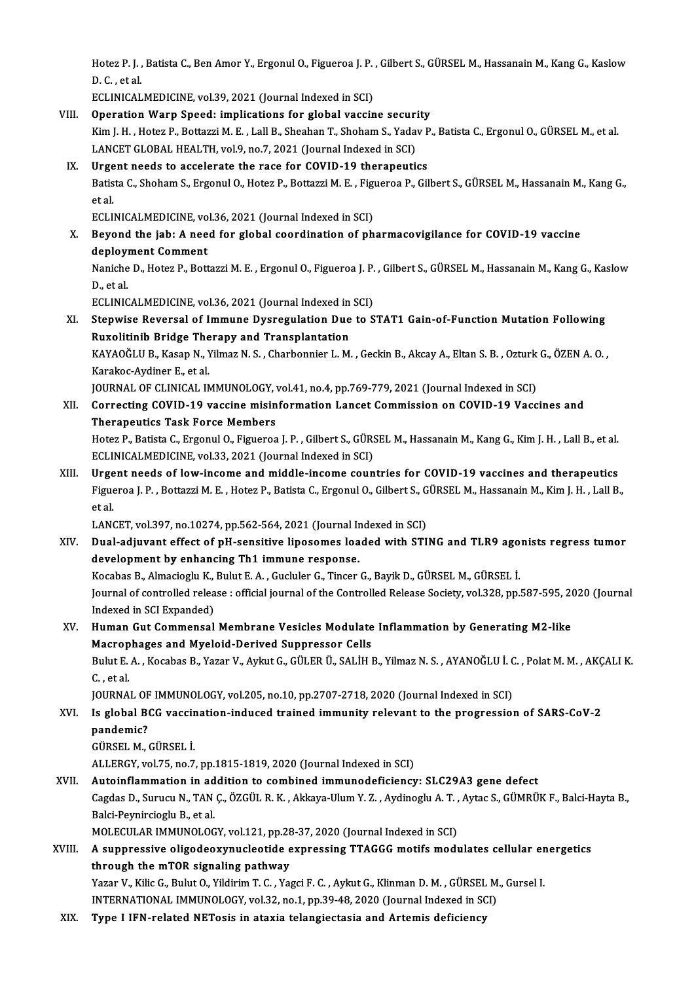Hotez P. J. , Batista C., Ben Amor Y., Ergonul O., Figueroa J. P. , Gilbert S., GÜRSEL M., Hassanain M., Kang G., Kaslow<br>P. G. et al Hotez P. J. ,<br>D. C. , et al.<br>ECLINICAL Hotez P. J. , Batista C., Ben Amor Y., Ergonul O., Figueroa J. P.<br>D. C. , et al.<br>ECLINICALMEDICINE, vol.39, 2021 (Journal Indexed in SCI)<br>Operation Wern Speed: implications for slabel vessin

D. C. , et al.<br>ECLINICALMEDICINE, vol.39, 2021 (Journal Indexed in SCI)<br>VIII. Operation Warp Speed: implications for global vaccine security<br>Vim L.H. Hoter P. Botterri M. F. Jell B. Sheeben T. Sheeben S. Vedey P. ECLINICALMEDICINE, vol.39, 2021 (Journal Indexed in SCI)<br>Operation Warp Speed: implications for global vaccine security<br>Kim J. H., Hotez P., Bottazzi M. E. , Lall B., Sheahan T., Shoham S., Yadav P., Batista C., Ergonul O. Operation Warp Speed: implications for global vaccine securi<br>Kim J. H. , Hotez P., Bottazzi M. E. , Lall B., Sheahan T., Shoham S., Yada<br>LANCET GLOBAL HEALTH, vol.9, no.7, 2021 (Journal Indexed in SCI)<br>Urgent peeds to asse Kim J. H., Hotez P., Bottazzi M. E., Lall B., Sheahan T., Shoham S., Yadav P<br>LANCET GLOBAL HEALTH, vol.9, no.7, 2021 (Journal Indexed in SCI)<br>IX. Urgent needs to accelerate the race for COVID-19 therapeutics<br>Patista C. Sho Batista C., Shoham S., Ergonul O., Hotez P., Bottazzi M. E. , Figueroa P., Gilbert S., GÜRSEL M., Hassanain M., Kang G.,<br>et al. **Urge<br>Batis<br>et al.**<br>ECLU ECLINICALMEDICINE, vol.36, 2021 (Journal Indexed in SCI) et al.<br>ECLINICALMEDICINE, vol.36, 2021 (Journal Indexed in SCI)<br>X. Beyond the jab: A need for global coordination of pharmacovigilance for COVID-19 vaccine<br>deployment Comment ECLINICALMEDICINE, vo<br>Beyond the jab: A nee<br>deployment Comment<br>Nanishe D. Heter B. Bett Beyond the jab: A need for global coordination of pharmacovigilance for COVID-19 vaccine<br>deployment Comment<br>Naniche D., Hotez P., Bottazzi M. E. , Ergonul O., Figueroa J. P. , Gilbert S., GÜRSEL M., Hassanain M., Kang G., deployi<br>Naniche<br>D., et al.<br>ECLINIC Naniche D., Hotez P., Bottazzi M. E. , Ergonul O., Figueroa J. P.<br>D., et al.<br>ECLINICALMEDICINE, vol.36, 2021 (Journal Indexed in SCI)<br>Stenuise Peyersel of Immune Dycrogulation Due to S D., et al.<br>ECLINICALMEDICINE, vol.36, 2021 (Journal Indexed in SCI)<br>XI. Stepwise Reversal of Immune Dysregulation Due to STAT1 Gain-of-Function Mutation Following<br>Ruxolitinib Bridge Therapy and Transplantation ECLINICALMEDICINE, vol.36, 2021 (Journal Indexed in SCI) Stepwise Reversal of Immune Dysregulation Due to STAT1 Gain-of-Function Mutation Following<br>Ruxolitinib Bridge Therapy and Transplantation<br>KAYAOĞLU B., Kasap N., Yilmaz N. S. , Charbonnier L. M. , Geckin B., Akcay A., Eltan Ruxolitinib Bridge The<br>KAYAOĞLU B., Kasap N., 1<br>Karakoc-Aydiner E., et al.<br>JOUPNAL OF GLINICAL IN KAYAOĞLU B., Kasap N., Yilmaz N. S. , Charbonnier L. M. , Geckin B., Akcay A., Eltan S. B. , Ozturk<br>Karakoc-Aydiner E., et al.<br>JOURNAL OF CLINICAL IMMUNOLOGY, vol.41, no.4, pp.769-779, 2021 (Journal Indexed in SCI)<br>Connect Karakoc-Aydiner E., et al.<br>JOURNAL OF CLINICAL IMMUNOLOGY, vol.41, no.4, pp.769-779, 2021 (Journal Indexed in SCI)<br>XII. Correcting COVID-19 vaccine misinformation Lancet Commission on COVID-19 Vaccines and<br>Therapeutics Tas JOURNAL OF CLINICAL IMMUNOLOGY, vol.41, no.4, pp.769-779, 2021 (Journal Indexed in SCI) Correcting COVID-19 vaccine misinformation Lancet Commission on COVID-19 Vaccines and<br>Therapeutics Task Force Members<br>Hotez P., Batista C., Ergonul O., Figueroa J. P. , Gilbert S., GÜRSEL M., Hassanain M., Kang G., Kim J. Therapeutics Task Force Members<br>Hotez P., Batista C., Ergonul O., Figueroa J. P. , Gilbert S., GÜRS<br>ECLINICALMEDICINE, vol.33, 2021 (Journal Indexed in SCI)<br>Urgent needs of low insome and middle insome soun Hotez P., Batista C., Ergonul O., Figueroa J. P., Gilbert S., GÜRSEL M., Hassanain M., Kang G., Kim J. H., Lall B., et al.<br>ECLINICALMEDICINE, vol.33, 2021 (Journal Indexed in SCI)<br>XIII. Urgent needs of low-income and middl ECLINICALMEDICINE, vol.33, 2021 (Journal Indexed in SCI)<br>Urgent needs of low-income and middle-income countries for COVID-19 vaccines and therapeutics<br>Figueroa J. P. , Bottazzi M. E. , Hotez P., Batista C., Ergonul O., Gil **Urge<br>Figue<br>et al.** Figueroa J. P. , Bottazzi M. E. , Hotez P., Batista C., Ergonul O., Gilbert S., G<br>et al.<br>LANCET, vol.397, no.10274, pp.562-564, 2021 (Journal Indexed in SCI)<br>Dual adjuvent effect of nH sensitive linesemes leaded with STI et al.<br>LANCET, vol.397, no.10274, pp.562-564, 2021 (Journal Indexed in SCI)<br>XIV. Dual-adjuvant effect of pH-sensitive liposomes loaded with STING and TLR9 agonists regress tumor<br>development by enhanging Th1 immune resp LANCET, vol.397, no.10274, pp.562-564, 2021 (Journal In<br>Dual-adjuvant effect of pH-sensitive liposomes loa<br>development by enhancing Th1 immune response. Dual-adjuvant effect of pH-sensitive liposomes loaded with STING and TLR9 ago<br>development by enhancing Th1 immune response.<br>Kocabas B., Almacioglu K., Bulut E. A. , Gucluler G., Tincer G., Bayik D., GÜRSEL M., GÜRSEL İ.<br>Jo development by enhancing Th1 immune response.<br>Kocabas B., Almacioglu K., Bulut E. A. , Gucluler G., Tincer G., Bayik D., GÜRSEL M., GÜRSEL İ.<br>Journal of controlled release : official journal of the Controlled Release Socie Kocabas B., Almacioglu K.,<br>Journal of controlled relea<br>Indexed in SCI Expanded)<br>Human Cut Commonaal Journal of controlled release : official journal of the Controlled Release Society, vol.328, pp.587-595, 20<br>Indexed in SCI Expanded)<br>XV. Human Gut Commensal Membrane Vesicles Modulate Inflammation by Generating M2-like Indexed in SCI Expanded)<br>Human Gut Commensal Membrane Vesicles Modulate<br>Macrophages and Myeloid-Derived Suppressor Cells<br>Pulut E.A., Kessbas B. Yazar V. Arlut C. CÜLER Ü. SALİH I Bulut E. A. , Kocabas B., Yazar V., Aykut G., GÜLER Ü., SALİH B., Yilmaz N. S. , AYANOĞLU İ. C. , Polat M. M. , AKÇALI K.<br>C. , et al. Macrophages and Myeloid-Derived Suppressor Cells Bulut E. A. , Kocabas B., Yazar V., Aykut G., GÜLER Ü., SALİH B., Yilmaz N. S. , AYANOĞLU İ. C<br>C. , et al.<br>JOURNAL OF IMMUNOLOGY, vol.205, no.10, pp.2707-2718, 2020 (Journal Indexed in SCI)<br>Is slabal BCC yassination, indus XVI. Is global BCG vaccination-induced trained immunity relevant to the progression of SARS-CoV-2 **JOURNAL OF**<br>Is global Be<br>pandemic?<br>CÜPSEL M GÜRSELM.,GÜRSEL İ. ALLERGY, vol.75, no.7, pp.1815-1819, 2020 (Journal Indexed in SCI) GÜRSEL M., GÜRSEL İ.<br>ALLERGY, vol.75, no.7, pp.1815-1819, 2020 (Journal Indexed in SCI)<br>XVII. Autoinflammation in addition to combined immunodeficiency: SLC29A3 gene defect<br>Cessies D. Surusu N. TAN.C. ÖZCÜL B.K. Akkaya Ulu ALLERGY, vol.75, no.7, pp.1815-1819, 2020 (Journal Indexed in SCI)<br><mark>Autoinflammation in addition to combined immunodeficiency: SLC29A3 gene defect</mark><br>Cagdas D., Surucu N., TAN Ç., ÖZGÜL R. K. , Akkaya-Ulum Y. Z. , Aydinoglu Autoinflammation in ad<br>Cagdas D., Surucu N., TAN<br>Balci-Peynircioglu B., et al.<br>MOLECULAR IMMUNOLOG Cagdas D., Surucu N., TAN Ç., ÖZGÜL R. K. , Akkaya-Ulum Y. Z. , Aydinoglu A. T. ,<br>Balci-Peynircioglu B., et al.<br>MOLECULAR IMMUNOLOGY, vol.121, pp.28-37, 2020 (Journal Indexed in SCI)<br>A sunnnessive eligedeeuunusleetide eunr Balci-Peynircioglu B., et al.<br>MOLECULAR IMMUNOLOGY, vol.121, pp.28-37, 2020 (Journal Indexed in SCI)<br>XVIII. A suppressive oligodeoxynucleotide expressing TTAGGG motifs modulates cellular energetics<br>through the mTOB signali MOLECULAR IMMUNOLOGY, vol.121, pp.28-37, 2020 (Journal Indexed in SCI)<br>A suppressive oligodeoxynucleotide expressing TTAGGG motifs modulates cellular er<br>through the mTOR signaling pathway<br>Yazar V., Kilic G., Bulut O., Yild A suppressive oligodeoxynucleotide expressing TTAGGG motifs modulates cellular er<br>through the mTOR signaling pathway<br>Yazar V., Kilic G., Bulut O., Yildirim T. C. , Yagci F. C. , Aykut G., Klinman D. M. , GÜRSEL M., Gursel INTERNATIONAL IMMUNOLOGY, vol.32, no.1, pp.39-48, 2020 (Journal Indexed in SCI) XIX. Type I IFN-related NETosis in ataxia telangiectasia and Artemis deficiency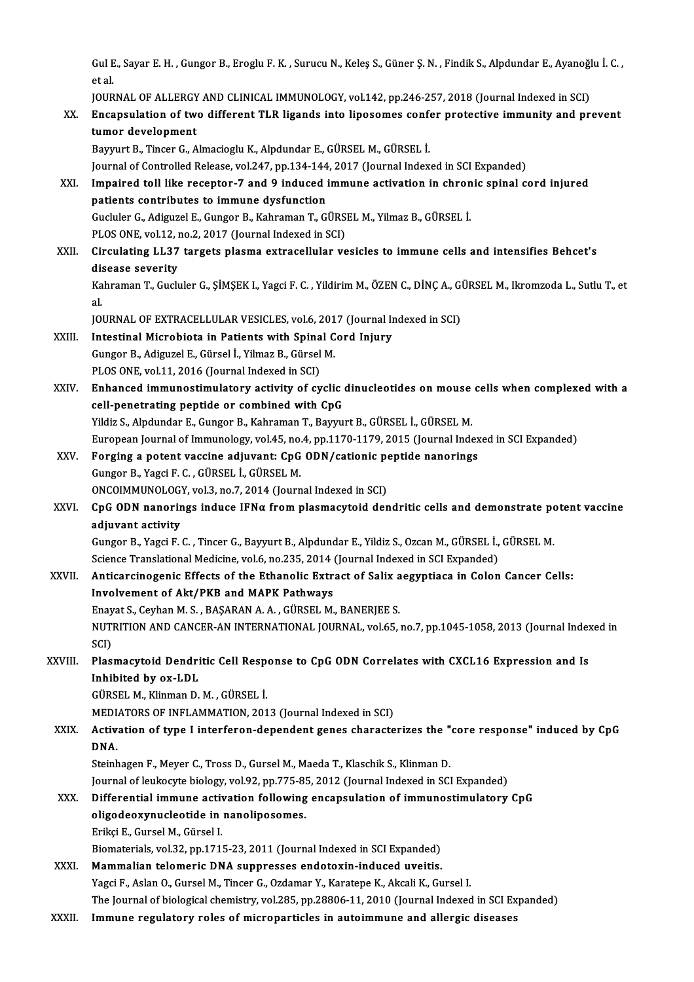Gul E., Sayar E. H. , Gungor B., Eroglu F. K. , Surucu N., Keleş S., Güner Ş. N. , Findik S., Alpdundar E., Ayanoğlu İ. C. ,<br>et el ا<br>et al.<br>IOUP Gul E., Sayar E. H. , Gungor B., Eroglu F. K. , Surucu N., Keleş S., Güner Ş. N. , Findik S., Alpdundar E., Ayanoğl<br>et al.<br>JOURNAL OF ALLERGY AND CLINICAL IMMUNOLOGY, vol.142, pp.246-257, 2018 (Journal Indexed in SCI)<br>Enco

|              | et al.                                                                                                                 |
|--------------|------------------------------------------------------------------------------------------------------------------------|
|              | JOURNAL OF ALLERGY AND CLINICAL IMMUNOLOGY, vol.142, pp.246-257, 2018 (Journal Indexed in SCI)                         |
| XX.          | Encapsulation of two different TLR ligands into liposomes confer protective immunity and prevent                       |
|              | tumor development                                                                                                      |
|              | Bayyurt B., Tincer G., Almacioglu K., Alpdundar E., GÜRSEL M., GÜRSEL İ.                                               |
|              | Journal of Controlled Release, vol.247, pp.134-144, 2017 (Journal Indexed in SCI Expanded)                             |
| XXI.         | Impaired toll like receptor-7 and 9 induced immune activation in chronic spinal cord injured                           |
|              | patients contributes to immune dysfunction                                                                             |
|              | Gucluler G., Adiguzel E., Gungor B., Kahraman T., GÜRSEL M., Yilmaz B., GÜRSEL İ.                                      |
|              | PLOS ONE, vol.12, no.2, 2017 (Journal Indexed in SCI)                                                                  |
| XXII.        | Circulating LL37 targets plasma extracellular vesicles to immune cells and intensifies Behcet's                        |
|              | disease severity                                                                                                       |
|              | Kahraman T., Gucluler G., ŞİMŞEK I., Yagci F. C., Yildirim M., ÖZEN C., DİNÇ A., GÜRSEL M., Ikromzoda L., Sutlu T., et |
|              | al.                                                                                                                    |
|              | JOURNAL OF EXTRACELLULAR VESICLES, vol.6, 2017 (Journal Indexed in SCI)                                                |
| XXIII.       | Intestinal Microbiota in Patients with Spinal Cord Injury                                                              |
|              | Gungor B., Adiguzel E., Gürsel İ., Yilmaz B., Gürsel M.                                                                |
|              | PLOS ONE, vol.11, 2016 (Journal Indexed in SCI)                                                                        |
| XXIV.        | Enhanced immunostimulatory activity of cyclic dinucleotides on mouse cells when complexed with a                       |
|              | cell-penetrating peptide or combined with CpG                                                                          |
|              | Yildiz S., Alpdundar E., Gungor B., Kahraman T., Bayyurt B., GÜRSEL İ., GÜRSEL M.                                      |
|              | European Journal of Immunology, vol.45, no.4, pp.1170-1179, 2015 (Journal Indexed in SCI Expanded)                     |
| XXV.         | Forging a potent vaccine adjuvant: CpG ODN/cationic peptide nanorings                                                  |
|              | Gungor B., Yagci F. C., GÜRSEL İ., GÜRSEL M.                                                                           |
|              | ONCOIMMUNOLOGY, vol.3, no.7, 2014 (Journal Indexed in SCI)                                                             |
| XXVI.        | CpG ODN nanorings induce IFNa from plasmacytoid dendritic cells and demonstrate potent vaccine                         |
|              | adjuvant activity                                                                                                      |
|              | Gungor B., Yagci F. C., Tincer G., Bayyurt B., Alpdundar E., Yildiz S., Ozcan M., GÜRSEL İ., GÜRSEL M.                 |
|              | Science Translational Medicine, vol.6, no.235, 2014 (Journal Indexed in SCI Expanded)                                  |
| <b>XXVII</b> | Anticarcinogenic Effects of the Ethanolic Extract of Salix aegyptiaca in Colon Cancer Cells:                           |
|              | Involvement of Akt/PKB and MAPK Pathwavs                                                                               |
|              | Enayat S., Ceyhan M. S., BAŞARAN A. A., GÜRSEL M., BANERJEE S.                                                         |
|              | NUTRITION AND CANCER-AN INTERNATIONAL JOURNAL, vol.65, no.7, pp.1045-1058, 2013 (Journal Indexed in                    |
|              | SCI)                                                                                                                   |
| XXVIII.      | Plasmacytoid Dendritic Cell Response to CpG ODN Correlates with CXCL16 Expression and Is                               |
|              | Inhibited by ox-LDL                                                                                                    |
|              | GÜRSEL M., Klinman D. M., GÜRSEL İ.                                                                                    |
|              | MEDIATORS OF INFLAMMATION, 2013 (Journal Indexed in SCI)                                                               |
| XXIX.        | Activation of type I interferon-dependent genes characterizes the "core response" induced by CpG                       |
|              | DNA.                                                                                                                   |
|              | Steinhagen F., Meyer C., Tross D., Gursel M., Maeda T., Klaschik S., Klinman D.                                        |
|              | Journal of leukocyte biology, vol.92, pp.775-85, 2012 (Journal Indexed in SCI Expanded)                                |
| XXX.         | Differential immune activation following encapsulation of immunostimulatory CpG                                        |
|              | oligodeoxynucleotide in nanoliposomes.                                                                                 |
|              | Erikçi E., Gursel M., Gürsel I.                                                                                        |
|              | Biomaterials, vol.32, pp.1715-23, 2011 (Journal Indexed in SCI Expanded)                                               |
| XXXI.        | Mammalian telomeric DNA suppresses endotoxin-induced uveitis.                                                          |
|              | Yagci F., Aslan O., Gursel M., Tincer G., Ozdamar Y., Karatepe K., Akcali K., Gursel I.                                |
|              | The Journal of biological chemistry, vol.285, pp.28806-11, 2010 (Journal Indexed in SCI Expanded)                      |
| XXXII.       | Immune regulatory roles of microparticles in autoimmune and allergic diseases                                          |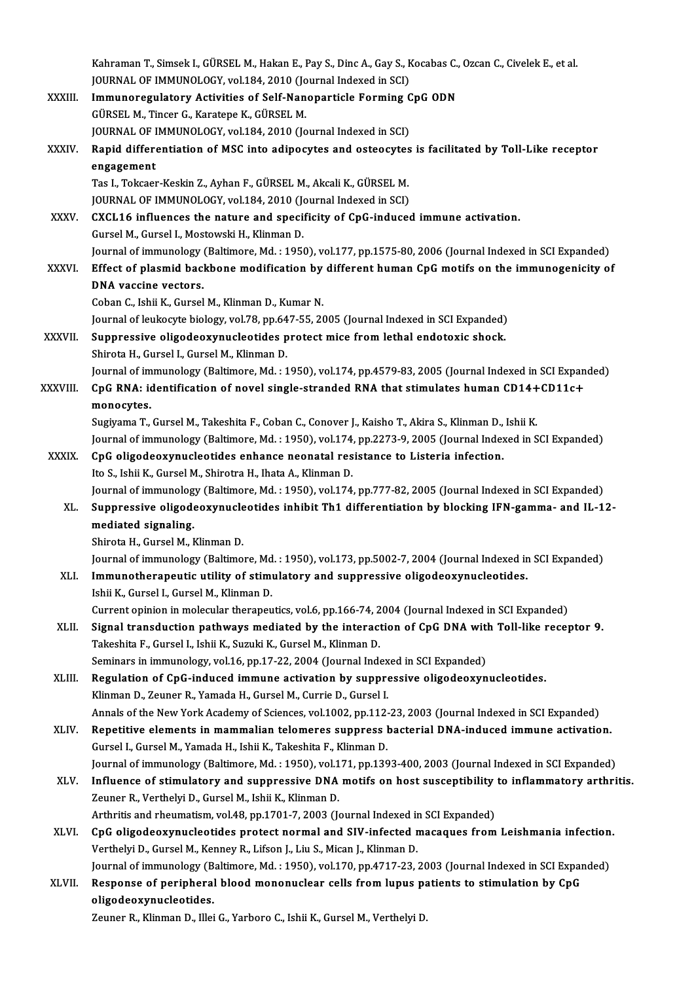|              | Kahraman T., Simsek I., GÜRSEL M., Hakan E., Pay S., Dinc A., Gay S., Kocabas C., Ozcan C., Civelek E., et al.                                    |
|--------------|---------------------------------------------------------------------------------------------------------------------------------------------------|
|              | JOURNAL OF IMMUNOLOGY, vol.184, 2010 (Journal Indexed in SCI)                                                                                     |
| XXXIII.      | Immunoregulatory Activities of Self-Nanoparticle Forming CpG ODN                                                                                  |
|              | GÜRSEL M., Tincer G., Karatepe K., GÜRSEL M.                                                                                                      |
|              | JOURNAL OF IMMUNOLOGY, vol.184, 2010 (Journal Indexed in SCI)                                                                                     |
| XXXIV.       | Rapid differentiation of MSC into adipocytes and osteocytes is facilitated by Toll-Like receptor                                                  |
|              | engagement                                                                                                                                        |
|              | Tas I., Tokcaer-Keskin Z., Ayhan F., GÜRSEL M., Akcali K., GÜRSEL M.                                                                              |
|              | JOURNAL OF IMMUNOLOGY, vol.184, 2010 (Journal Indexed in SCI)                                                                                     |
| <b>XXXV</b>  | CXCL16 influences the nature and specificity of CpG-induced immune activation.                                                                    |
|              | Gursel M., Gursel I., Mostowski H., Klinman D.                                                                                                    |
|              | Journal of immunology (Baltimore, Md.: 1950), vol.177, pp.1575-80, 2006 (Journal Indexed in SCI Expanded)                                         |
| <b>XXXVI</b> | Effect of plasmid backbone modification by different human CpG motifs on the immunogenicity of                                                    |
|              | DNA vaccine vectors.                                                                                                                              |
|              | Coban C., Ishii K., Gursel M., Klinman D., Kumar N.<br>Journal of leukocyte biology, vol.78, pp.647-55, 2005 (Journal Indexed in SCI Expanded)    |
| XXXVII.      | Suppressive oligodeoxynucleotides protect mice from lethal endotoxic shock.                                                                       |
|              | Shirota H., Gursel I., Gursel M., Klinman D.                                                                                                      |
|              | Journal of immunology (Baltimore, Md.: 1950), vol.174, pp.4579-83, 2005 (Journal Indexed in SCI Expanded)                                         |
| XXXVIII.     | CpG RNA: identification of novel single-stranded RNA that stimulates human CD14+CD11c+                                                            |
|              | monocytes.                                                                                                                                        |
|              | Sugiyama T., Gursel M., Takeshita F., Coban C., Conover J., Kaisho T., Akira S., Klinman D., Ishii K.                                             |
|              | Journal of immunology (Baltimore, Md.: 1950), vol.174, pp.2273-9, 2005 (Journal Indexed in SCI Expanded)                                          |
| <b>XXXIX</b> | CpG oligodeoxynucleotides enhance neonatal resistance to Listeria infection.                                                                      |
|              | Ito S., Ishii K., Gursel M., Shirotra H., Ihata A., Klinman D.                                                                                    |
|              | Journal of immunology (Baltimore, Md.: 1950), vol.174, pp.777-82, 2005 (Journal Indexed in SCI Expanded)                                          |
| XL.          | Suppressive oligodeoxynucleotides inhibit Th1 differentiation by blocking IFN-gamma- and IL-12-                                                   |
|              | mediated signaling.                                                                                                                               |
|              | Shirota H. Gursel M. Klinman D.                                                                                                                   |
|              | Journal of immunology (Baltimore, Md.: 1950), vol.173, pp.5002-7, 2004 (Journal Indexed in SCI Expanded)                                          |
| XLI.         | Immunotherapeutic utility of stimulatory and suppressive oligodeoxynucleotides.                                                                   |
|              | Ishii K., Gursel I., Gursel M., Klinman D.<br>Current opinion in molecular therapeutics, vol.6, pp.166-74, 2004 (Journal Indexed in SCI Expanded) |
| XLII.        | Signal transduction pathways mediated by the interaction of CpG DNA with Toll-like receptor 9.                                                    |
|              | Takeshita F., Gursel I., Ishii K., Suzuki K., Gursel M., Klinman D.                                                                               |
|              | Seminars in immunology, vol.16, pp.17-22, 2004 (Journal Indexed in SCI Expanded)                                                                  |
| XLIII.       | Regulation of CpG-induced immune activation by suppressive oligodeoxynucleotides.                                                                 |
|              | Klinman D., Zeuner R., Yamada H., Gursel M., Currie D., Gursel I.                                                                                 |
|              | Annals of the New York Academy of Sciences, vol.1002, pp.112-23, 2003 (Journal Indexed in SCI Expanded)                                           |
| XLIV.        | Repetitive elements in mammalian telomeres suppress bacterial DNA-induced immune activation.                                                      |
|              | Gursel I., Gursel M., Yamada H., Ishii K., Takeshita F., Klinman D.                                                                               |
|              | Journal of immunology (Baltimore, Md.: 1950), vol.171, pp.1393-400, 2003 (Journal Indexed in SCI Expanded)                                        |
| XLV.         | Influence of stimulatory and suppressive DNA motifs on host susceptibility to inflammatory arthritis.                                             |
|              | Zeuner R., Verthelyi D., Gursel M., Ishii K., Klinman D.                                                                                          |
|              | Arthritis and rheumatism, vol.48, pp.1701-7, 2003 (Journal Indexed in SCI Expanded)                                                               |
| XLVI.        | CpG oligodeoxynucleotides protect normal and SIV-infected macaques from Leishmania infection.                                                     |
|              | Verthelyi D., Gursel M., Kenney R., Lifson J., Liu S., Mican J., Klinman D.                                                                       |
|              | Journal of immunology (Baltimore, Md.: 1950), vol.170, pp.4717-23, 2003 (Journal Indexed in SCI Expanded)                                         |
| XLVII.       | Response of peripheral blood mononuclear cells from lupus patients to stimulation by CpG                                                          |
|              | oligodeoxynucleotides.<br>Zeuner R., Klinman D., Illei G., Yarboro C., Ishii K., Gursel M., Verthelyi D.                                          |
|              |                                                                                                                                                   |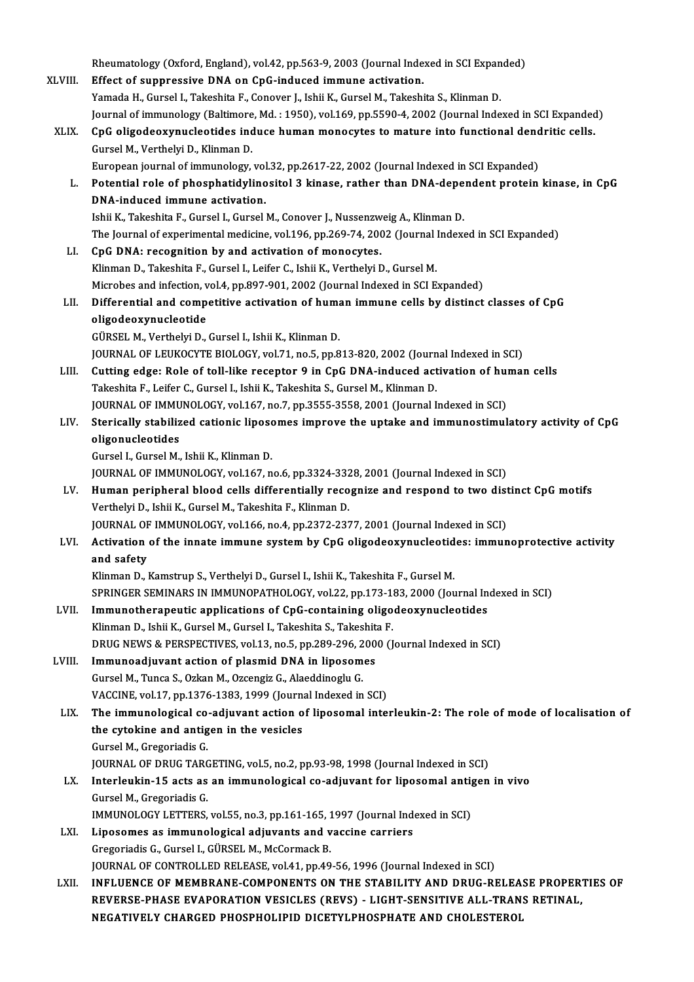|         | Rheumatology (Oxford, England), vol.42, pp.563-9, 2003 (Journal Indexed in SCI Expanded)                 |
|---------|----------------------------------------------------------------------------------------------------------|
| XLVIII. | Effect of suppressive DNA on CpG-induced immune activation.                                              |
|         | Yamada H., Gursel I., Takeshita F., Conover J., Ishii K., Gursel M., Takeshita S., Klinman D.            |
|         | Journal of immunology (Baltimore, Md.: 1950), vol.169, pp.5590-4, 2002 (Journal Indexed in SCI Expanded) |
| XLIX.   | CpG oligodeoxynucleotides induce human monocytes to mature into functional dendritic cells.              |
|         | Gursel M., Verthelyi D., Klinman D.                                                                      |
|         | European journal of immunology, vol.32, pp.2617-22, 2002 (Journal Indexed in SCI Expanded)               |
| L.      | Potential role of phosphatidylinositol 3 kinase, rather than DNA-dependent protein kinase, in CpG        |
|         | DNA-induced immune activation.                                                                           |
|         | Ishii K., Takeshita F., Gursel I., Gursel M., Conover J., Nussenzweig A., Klinman D.                     |
|         |                                                                                                          |
| LI.     | The Journal of experimental medicine, vol.196, pp.269-74, 2002 (Journal Indexed in SCI Expanded)         |
|         | CpG DNA: recognition by and activation of monocytes.                                                     |
|         | Klinman D., Takeshita F., Gursel I., Leifer C., Ishii K., Verthelyi D., Gursel M.                        |
|         | Microbes and infection, vol.4, pp.897-901, 2002 (Journal Indexed in SCI Expanded)                        |
| LII.    | Differential and competitive activation of human immune cells by distinct classes of CpG                 |
|         | oligodeoxynucleotide                                                                                     |
|         | GÜRSEL M., Verthelyi D., Gursel I., Ishii K., Klinman D.                                                 |
|         | JOURNAL OF LEUKOCYTE BIOLOGY, vol.71, no.5, pp.813-820, 2002 (Journal Indexed in SCI)                    |
| LIII.   | Cutting edge: Role of toll-like receptor 9 in CpG DNA-induced activation of human cells                  |
|         | Takeshita F., Leifer C., Gursel I., Ishii K., Takeshita S., Gursel M., Klinman D.                        |
|         | JOURNAL OF IMMUNOLOGY, vol.167, no.7, pp.3555-3558, 2001 (Journal Indexed in SCI)                        |
| LIV.    | Sterically stabilized cationic liposomes improve the uptake and immunostimulatory activity of CpG        |
|         | oligonucleotides                                                                                         |
|         | Gursel I., Gursel M., Ishii K., Klinman D.                                                               |
|         | JOURNAL OF IMMUNOLOGY, vol.167, no.6, pp.3324-3328, 2001 (Journal Indexed in SCI)                        |
| LV.     | Human peripheral blood cells differentially recognize and respond to two distinct CpG motifs             |
|         | Verthelyi D., Ishii K., Gursel M., Takeshita F., Klinman D.                                              |
|         | JOURNAL OF IMMUNOLOGY, vol.166, no.4, pp.2372-2377, 2001 (Journal Indexed in SCI)                        |
| LVI.    | Activation of the innate immune system by CpG oligodeoxynucleotides: immunoprotective activity           |
|         | and safety                                                                                               |
|         | Klinman D., Kamstrup S., Verthelyi D., Gursel I., Ishii K., Takeshita F., Gursel M.                      |
|         | SPRINGER SEMINARS IN IMMUNOPATHOLOGY, vol.22, pp.173-183, 2000 (Journal Indexed in SCI)                  |
| LVII.   | Immunotherapeutic applications of CpG-containing oligodeoxynucleotides                                   |
|         | Klinman D., Ishii K., Gursel M., Gursel I., Takeshita S., Takeshita F.                                   |
|         | DRUG NEWS & PERSPECTIVES, vol.13, no.5, pp.289-296, 2000 (Journal Indexed in SCI)                        |
|         |                                                                                                          |
| LVIII.  | Immunoadjuvant action of plasmid DNA in liposomes                                                        |
|         | Gursel M., Tunca S., Ozkan M., Ozcengiz G., Alaeddinoglu G.                                              |
|         | VACCINE, vol.17, pp.1376-1383, 1999 (Journal Indexed in SCI)                                             |
| LIX.    | The immunological co-adjuvant action of liposomal interleukin-2: The role of mode of localisation of     |
|         | the cytokine and antigen in the vesicles                                                                 |
|         | Gursel M., Gregoriadis G.                                                                                |
|         | JOURNAL OF DRUG TARGETING, vol.5, no.2, pp.93-98, 1998 (Journal Indexed in SCI)                          |
| LX.     | Interleukin-15 acts as an immunological co-adjuvant for liposomal antigen in vivo                        |
|         | Gursel M., Gregoriadis G.                                                                                |
|         | IMMUNOLOGY LETTERS, vol.55, no.3, pp.161-165, 1997 (Journal Indexed in SCI)                              |
| LXI.    | Liposomes as immunological adjuvants and vaccine carriers                                                |
|         | Gregoriadis G., Gursel I., GÜRSEL M., McCormack B.                                                       |
|         | JOURNAL OF CONTROLLED RELEASE, vol.41, pp.49-56, 1996 (Journal Indexed in SCI)                           |
| LXII.   | INFLUENCE OF MEMBRANE-COMPONENTS ON THE STABILITY AND DRUG-RELEASE PROPERTIES OF                         |
|         | REVERSE-PHASE EVAPORATION VESICLES (REVS) - LIGHT-SENSITIVE ALL-TRANS RETINAL,                           |
|         | NEGATIVELY CHARGED PHOSPHOLIPID DICETYLPHOSPHATE AND CHOLESTEROL                                         |
|         |                                                                                                          |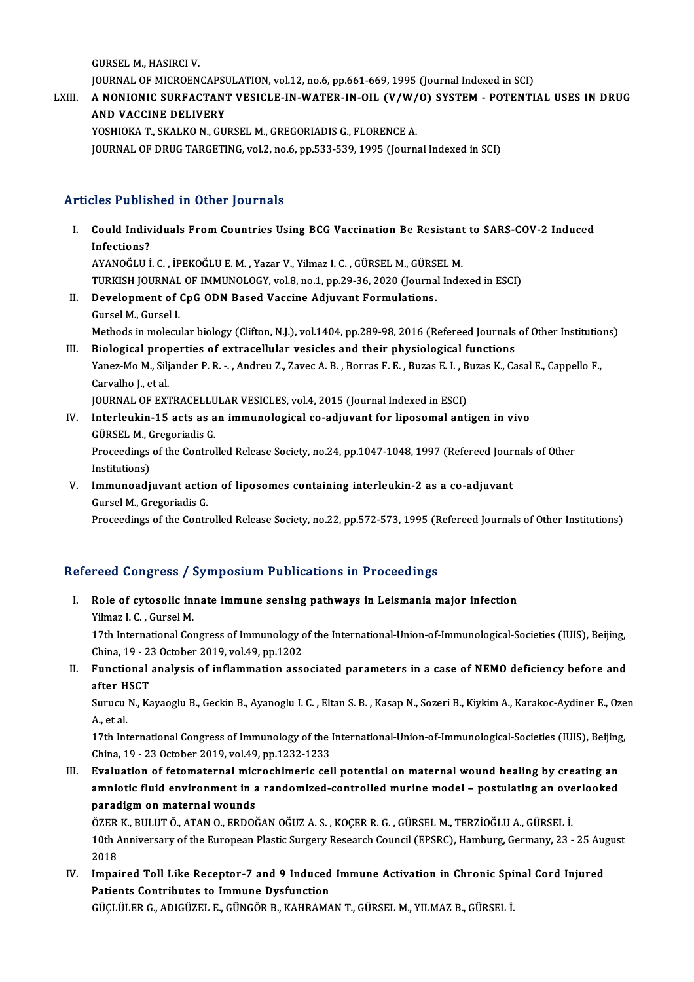GURSELM.,HASIRCIV.

JOURNAL OF MICROENCAPSULATION, vol.12, no.6, pp.661-669, 1995 (Journal Indexed in SCI)

GURSEL M., HASIRCI V.<br>JOURNAL OF MICROENCAPSULATION, vol.12, no.6, pp.661-669, 1995 (Journal Indexed in SCI)<br>LXIII. A NONIONIC SURFACTANT VESICLE-IN-WATER-IN-OIL (V/W/O) SYSTEM - POTENTIAL USES IN DRUG **JOURNAL OF MICROENCAPS<br>A NONIONIC SURFACTANY<br>AND VACCINE DELIVERY**<br>VOSUIOVA T. SVALVO N. CU A NONIONIC SURFACTANT VESICLE-IN-WATER-IN-OIL (V/W/<br>AND VACCINE DELIVERY<br>YOSHIOKA T., SKALKO N., GURSEL M., GREGORIADIS G., FLORENCE A.<br>JOUPNAL OF DRUC TARCETING Vol 2, no 6, nn 533, 539, 1995 (Journ

AND VACCINE DELIVERY<br>YOSHIOKA T., SKALKO N., GURSEL M., GREGORIADIS G., FLORENCE A.<br>JOURNAL OF DRUG TARGETING, vol.2, no.6, pp.533-539, 1995 (Journal Indexed in SCI)

#### Articles Published in Other Journals

- rticles Published in Other Journals<br>I. Could Individuals From Countries Using BCG Vaccination Be Resistant to SARS-COV-2 Induced<br>Infections? Inco I abits<br>Could Indiv<br>Infections?<br>AVANOČIII Could Individuals From Countries Using BCG Vaccination Be Resistant<br>Infections?<br>AYANOĞLU İ. C. , İPEKOĞLU E. M. , Yazar V., Yilmaz I. C. , GÜRSEL M., GÜRSEL M.<br>TURKISH JOURNAL OF IMMUNOLOCY vel 8 no.1 nn 20.26.2020 (Journa Infections?<br>AYANOĞLU İ. C. , İPEKOĞLU E. M. , Yazar V., Yilmaz I. C. , GÜRSEL M., GÜRSEL M.<br>TURKISH JOURNAL OF IMMUNOLOGY, vol.8, no.1, pp.29-36, 2020 (Journal Indexed in ESCI)<br>Pavelonment of CnC ODN Based Vassine Adiwyant AYANOĞLU İ. C. , İPEKOĞLU E. M. , Yazar V., Yilmaz I. C. , GÜRSEL M., GÜRSEL M.<br>TURKISH JOURNAL OF IMMUNOLOGY, vol.8, no.1, pp.29-36, 2020 (Journal Inde<br>II. Development of CpG ODN Based Vaccine Adjuvant Formulations.<br>Gurse
- TURKISH JOURNAL<br>Development of (<br>Gursel M., Gursel I.<br>Mathoda in malazu Development of CpG ODN Based Vaccine Adjuvant Formulations.<br>Gursel M., Gursel I.<br>Methods in molecular biology (Clifton, N.J.), vol.1404, pp.289-98, 2016 (Refereed Journals of Other Institutions)<br>Piological proportice of ou Gursel M., Gursel I.<br>Methods in molecular biology (Clifton, N.J.), vol.1404, pp.289-98, 2016 (Refereed Journals<br>III. Biological properties of extracellular vesicles and their physiological functions<br>Vanes Mo M. Siliandar R
- Methods in molecular biology (Clifton, N.J.), vol.1404, pp.289-98, 2016 (Refereed Journals of Other Institutio<br>Biological properties of extracellular vesicles and their physiological functions<br>Yanez-Mo M., Siljander P. R. **Biological prop<br>Yanez-Mo M., Silj<br>Carvalho J., et al.<br>JOUPMAL OF EYT** Yanez-Mo M., Siljander P. R. -. , Andreu Z., Zavec A. B. , Borras F. E. , Buzas E. I. , Buzas K., Casal E., Cappello F.,<br>Carvalho J., et al.<br>JOURNAL OF EXTRACELLULAR VESICLES, vol.4, 2015 (Journal Indexed in ESCI)
- IV. Interleukin-15 acts as an immunological co-adjuvant for liposomal antigen in vivo GÜRSELM.,GregoriadisG. Interleukin-15 acts as an immunological co-adjuvant for liposomal antigen in vivo<br>GÜRSEL M., Gregoriadis G.<br>Proceedings of the Controlled Release Society, no.24, pp.1047-1048, 1997 (Refereed Journals of Other<br>Institutions) GÜRSEL M., C<br>Proceedings<br>Institutions)<br>Immunoodi Proceedings of the Controlled Release Society, no.24, pp.1047-1048, 1997 (Refereed Journ<br>Institutions)<br>V. Immunoadjuvant action of liposomes containing interleukin-2 as a co-adjuvant<br>Cursel M. Cresoriadis C
- Institutions)<br>V. Immunoadjuvant action of liposomes containing interleukin-2 as a co-adjuvant<br>Gursel M., Gregoriadis G.

Proceedings of the Controlled Release Society, no.22, pp.572-573, 1995 (Refereed Journals of Other Institutions)

#### Refereed Congress / Symposium Publications in Proceedings

- efereed Congress / Symposium Publications in Proceedings<br>I. Role of cytosolic innate immune sensing pathways in Leismania major infection<br>Vilmes L.C. Cureel M Your compress y .<br>Role of cytosolic in:<br>Yilmaz I. C. , Gursel M.<br>17th International Co Yilmaz I. C., Gursel M.<br>17th International Congress of Immunology of the International-Union-of-Immunological-Societies (IUIS), Beijing, China, 19 - 23 October 2019, vol.49, pp.1202 17th International Congress of Immunology of the International-Union-of-Immunological-Societies (IUIS), Beijing,<br>China, 19 - 23 October 2019, vol.49, pp.1202<br>II. Functional analysis of inflammation associated parameters in
- China, 19 2:<br>Functional<br>after HSCT<br>Surucu N. Ko Functional analysis of inflammation associated parameters in a case of NEMO deficiency before and<br>after HSCT<br>Surucu N., Kayaoglu B., Geckin B., Ayanoglu I. C. , Eltan S. B. , Kasap N., Sozeri B., Kiykim A., Karakoc-Aydiner

a<mark>fter H</mark><br>Surucu<br>A., et al.<br>17th Int Surucu N., Kayaoglu B., Geckin B., Ayanoglu I. C. , Eltan S. B. , Kasap N., Sozeri B., Kiykim A., Karakoc-Aydiner E., Oze<br>A., et al.<br>17th International Congress of Immunology of the International-Union-of-Immunological-Soc

A., et al.<br>17th International Congress of Immunology of the International-Union-of-Immunological-Societies (IUIS), Beijing,<br>China, 19 - 23 October 2019, vol.49, pp.1232-1233 17th International Congress of Immunology of the International-Union-of-Immunological-Societies (IUIS), Beijing<br>China, 19 - 23 October 2019, vol.49, pp.1232-1233<br>III. Evaluation of fetomaternal microchimeric cell potential

China, 19 - 23 October 2019, vol.49, pp.1232-1233<br>Evaluation of fetomaternal microchimeric cell potential on maternal wound healing by creating an<br>amniotic fluid environment in a randomized-controlled murine model – postul Evaluation of fetomaternal mic<br>amniotic fluid environment in a<br>paradigm on maternal wounds<br>ÖZEP K. PULUTÖ ATAN O EPDO amniotic fluid environment in a randomized-controlled murine model – postulating an ove<br>paradigm on maternal wounds<br>ÖZER K., BULUT Ö., ATAN O., ERDOĞAN OĞUZ A. S. , KOÇER R. G. , GÜRSEL M., TERZİOĞLU A., GÜRSEL İ.<br>10th Ann

paradigm on maternal wounds<br>ÖZER K., BULUT Ö., ATAN O., ERDOĞAN OĞUZ A. S. , KOÇER R. G. , GÜRSEL M., TERZİOĞLU A., GÜRSEL İ.<br>10th Anniversary of the European Plastic Surgery Research Council (EPSRC), Hamburg, Germany, 23 ÖZER<br>10th /<br>2018<br>Impol 10th Anniversary of the European Plastic Surgery Research Council (EPSRC), Hamburg, Germany, 23 - 25 Aug<br>2018<br>IV. Impaired Toll Like Receptor-7 and 9 Induced Immune Activation in Chronic Spinal Cord Injured<br>Patients Contri

2018<br>Impaired Toll Like Receptor-7 and 9 Induced<br>Patients Contributes to Immune Dysfunction<br>Citeriu EP.C. ADICitzEL E. CitNGÖP P. KAHPAMA Impaired Toll Like Receptor-7 and 9 Induced Immune Activation in Chronic Spi<br>Patients Contributes to Immune Dysfunction<br>GÜÇLÜLER G., ADIGÜZEL E., GÜNGÖR B., KAHRAMAN T., GÜRSEL M., YILMAZ B., GÜRSEL İ.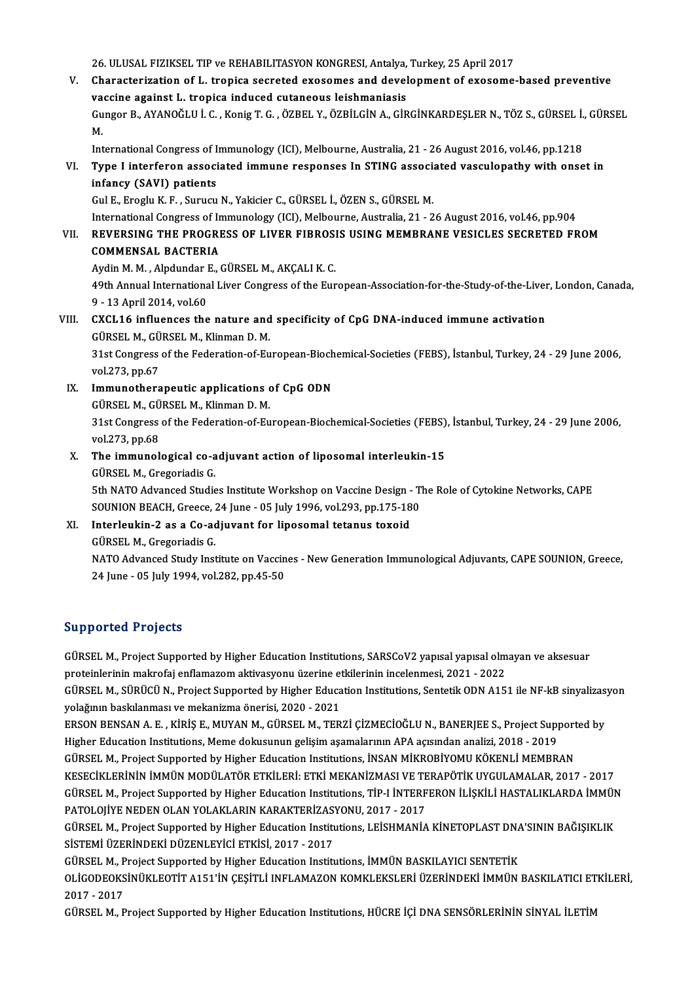26. ULUSAL FIZIKSEL TIP ve REHABILITASYON KONGRESI, Antalya, Turkey, 25 April 2017<br>Chanasteriration of L. tropica secreted execemes and development of execeme

V. Characterization of L. tropica secreted exosomes and development of exosome-based preventive 26. ULUSAL FIZIKSEL TIP ve REHABILITASYON KONGRESI, Antalya,<br>Characterization of L. tropica secreted exosomes and devel<br>vaccine against L. tropica induced cutaneous leishmaniasis<br>Cunger B. AVANOČLU L.C. Konig T.C. ÖZPEL V. Characterization of L. tropica secreted exosomes and development of exosome-based preventive<br>vaccine against L. tropica induced cutaneous leishmaniasis<br>Gungor B., AYANOĞLU İ. C. , Konig T. G. , ÖZBEL Y., ÖZBİLGİN A., GİRGİ va<br>Gu<br>Int Gungor B., AYANOĞLU İ. C. , Konig T. G. , ÖZBEL Y., ÖZBİLGİN A., GİRGİNKARDEŞLER N., TÖZ S., GÜRSEL İ.,<br>M.<br>International Congress of Immunology (ICI), Melbourne, Australia, 21 - 26 August 2016, vol.46, pp.1218<br>Tuno Linterf

### M.<br>International Congress of Immunology (ICI), Melbourne, Australia, 21 - 26 August 2016, vol.46, pp.1218<br>VI. Type I interferon associated immune responses In STING associated vasculopathy with onset in<br>infoney (SAVI) International Congress of I<br>Type I interferon associ<br>infancy (SAVI) patients Type I interferon associated immune responses In STING association<br>infancy (SAVI) patients<br>Gul E., Eroglu K. F. , Surucu N., Yakicier C., GÜRSEL İ., ÖZEN S., GÜRSEL M.<br>International Congress of Immunelegy (ICI), Melbourne, i<mark>nfancy (SAVI) patients</mark><br>Gul E., Eroglu K. F. , Surucu N., Yakicier C., GÜRSEL İ., ÖZEN S., GÜRSEL M.<br>International Congress of Immunology (ICI), Melbourne, Australia, 21 - 26 August 2016, vol.46, pp.904<br>REVERSING THE PRO

## Gul E., Eroglu K. F. , Surucu N., Yakicier C., GÜRSEL İ., ÖZEN S., GÜRSEL M.<br>International Congress of Immunology (ICI), Melbourne, Australia, 21 - 26 August 2016, vol.46, pp.904<br>VII. REVERSING THE PROGRESS OF LIVER FIBROS International Congress of In<br>REVERSING THE PROGRI<br>COMMENSAL BACTERIA<br>Audin M.M. Alpdunder E.

Aydin M. M., Alpdundar E., GÜRSEL M., AKÇALIK.C.

COMMENSAL BACTERIA<br>Aydin M. M. , Alpdundar E., GÜRSEL M., AKÇALI K. C.<br>49th Annual International Liver Congress of the European-Association-for-the-Study-of-the-Liver, London, Canada,<br>9, ...13 April 2014, vol.60 Aydin M. M. , Alpdundar 1<br>49th Annual Internations<br>9 - 13 April 2014, vol.60<br>CYCL16 influences the 49th Annual International Liver Congress of the European-Association-for-the-Study-of-the-Liver<br>9 - 13 April 2014, vol.60<br>VIII. CXCL16 influences the nature and specificity of CpG DNA-induced immune activation<br>CURSEL M. CU

### 9 - 13 April 2014, vol.60<br>VIII. CXCL16 influences the nature and specificity of CpG DNA-induced immune activation GÜRSEL M., GÜRSEL M., Klinman D. M.

31st Congress of the Federation-of-European-Biochemical-Societies (FEBS), İstanbul, Turkey, 24 - 29 June 2006, vol.273, pp.67 31st Congress of the Federation-of-European-Bioch<br>vol.273, pp.67<br>IX. Immunotherapeutic applications of CpG ODN<br>CUREL M. CUREL M. Vinman D. M

- vol.273, pp.67<br>Immunotherapeutic applications<br>GÜRSEL M., GÜRSEL M., Klinman D. M.<br>21st Congress of the Eederation of Eu 31st Congress of the Federation-of-European-Biochemical-Societies (FEBS), İstanbul, Turkey, 24 - 29 June 2006, vol.273, pp.68 GÜRSEL M., GÜRSEL M., Klinman D. M. 31st Congress of the Federation-of-European-Biochemical-Societies (FEBS)<br>vol.273, pp.68<br>X. The immunological co-adjuvant action of liposomal interleukin-15<br>CURSEL M. Cressriedis C.
- vol.273, pp.68<br><mark>The immunological co-a</mark><br>GÜRSEL M., Gregoriadis G.<br>Eth NATO Advanced Studie The immunological co-adjuvant action of liposomal interleukin-15<br>GÜRSEL M., Gregoriadis G.<br>5th NATO Advanced Studies Institute Workshop on Vaccine Design - The Role of Cytokine Networks, CAPE<br>SOUNION REACH, Creese, 24 June

GÜRSEL M., Gregoriadis G.<br>5th NATO Advanced Studies Institute Workshop on Vaccine Design - T.<br>SOUNION BEACH, Greece, 24 June - 05 July 1996, vol.293, pp.175-180<br>Interlevkin 3 es e Go ediuvant for linesemal tetanus texeid. SOUNION BEACH, Greece, 24 June - 05 July 1996, vol.293, pp.175-180<br>XI. Interleukin-2 as a Co-adjuvant for liposomal tetanus toxoid

## GÜRSELM.,GregoriadisG.

Interleukin-2 as a Co-adjuvant for liposomal tetanus toxoid<br>GÜRSEL M., Gregoriadis G.<br>NATO Advanced Study Institute on Vaccines - New Generation Immunological Adjuvants, CAPE SOUNION, Greece,<br>24 June, OE July 1994, vol 282 GÜRSEL M., Gregoriadis G.<br>NATO Advanced Study Institute on Vaccin<br>24 June - 05 July 1994, vol.282, pp.45-50 24 June - 05 July 1994, vol.282, pp.45-50<br>Supported Projects

Supported Projects<br>GÜRSEL M., Project Supported by Higher Education Institutions, SARSCoV2 yapısal yapısal olmayan ve aksesuar<br>Pretsiplerinin makrefai anflamazam aktivasyonu üzerine etkilerinin inselenmesi 2021, 2022 proteinlerininmakrofaj enflamazom aktivasyonu üzerine etkilerinin incelenmesi, 2021 - 2022<br>proteinlerinin makrofaj enflamazom aktivasyonu üzerine etkilerinin incelenmesi, 2021 - 2022<br>CÜRSEL M. SÜRÜCÜ N. Project Sunnerted b proteinlerinin makrofaj enflamazom aktivasyonu üzerine etkilerinin incelenmesi, 2021 - 2022<br>GÜRSEL M., SÜRÜCÜ N., Project Supported by Higher Education Institutions, Sentetik ODN A151 ile NF-kB sinyalizasyon

yolağının baskılanması ve mekanizma önerisi, 2020 - 2021 GÜRSEL M., SÜRÜCÜ N., Project Supported by Higher Education Institutions, Sentetik ODN A151 ile NF-kB sinyalizas<br>yolağının baskılanması ve mekanizma önerisi, 2020 - 2021<br>ERSON BENSAN A. E. , KİRİŞ E., MUYAN M., GÜRSEL M.,

yolağının baskılanması ve mekanizma önerisi, 2020 - 2021<br>ERSON BENSAN A. E. , KİRİŞ E., MUYAN M., GÜRSEL M., TERZİ ÇİZMECİOĞLU N., BANERJEE S., Project Sup<sub>l</sub><br>Higher Education Institutions, Meme dokusunun gelişim aşamaları ERSON BENSAN A. E. , KİRİŞ E., MUYAN M., GÜRSEL M., TERZİ ÇİZMECİOĞLU N., BANERJEE S., Project Support<br>Higher Education Institutions, Meme dokusunun gelişim aşamalarının APA açısından analizi, 2018 - 2019<br>GÜRSEL M., Projec

Higher Education Institutions, Meme dokusunun gelişim aşamalarının APA açısından analizi, 2018 - 2019<br>GÜRSEL M., Project Supported by Higher Education Institutions, İNSAN MİKROBİYOMU KÖKENLİ MEMBRAN<br>KESECİKLERİNİN İMMÜN MO GÜRSEL M., Project Supported by Higher Education Institutions, İNSAN MİKROBİYOMU KÖKENLİ MEMBRAN<br>KESECİKLERİNİN İMMÜN MODÜLATÖR ETKİLERİ: ETKİ MEKANİZMASI VE TERAPÖTİK UYGULAMALAR, 2017 - 2017<br>GÜRSEL M., Project Supported KESECİKLERİNİN İMMÜN MODÜLATÖR ETKİLERİ: ETKİ MEKANİZMASI VE TE<br>GÜRSEL M., Project Supported by Higher Education Institutions, TİP-I İNTERF<br>PATOLOJİYE NEDEN OLAN YOLAKLARIN KARAKTERİZASYONU, 2017 - 2017<br>CÜRSEL M. Project S GÜRSEL M., Project Supported by Higher Education Institutions, TİP-I İNTERFERON İLİŞKİLİ HASTALIKLARDA İMMÜN<br>PATOLOJİYE NEDEN OLAN YOLAKLARIN KARAKTERİZASYONU, 2017 - 2017<br>GÜRSEL M., Project Supported by Higher Education I

PATOLOJİYE NEDEN OLAN YOLAKLARIN KARAKTERİZAS<br>GÜRSEL M., Project Supported by Higher Education Institu<br>SİSTEMİ ÜZERİNDEKİ DÜZENLEYİCİ ETKİSİ, 2017 - 2017<br>GÜRSEL M. Project Supported bu Higher Education Institu GÜRSEL M., Project Supported by Higher Education Institutions, LEİSHMANİA KİNETOPLAST DNA<br>SİSTEMİ ÜZERİNDEKİ DÜZENLEYİCI ETKİSİ, 2017 - 2017<br>GÜRSEL M., Project Supported by Higher Education Institutions, İMMÜN BASKILAYICI

SİSTEMİ ÜZERİNDEKİ DÜZENLEYİCİ ETKİSİ, 2017 - 2017<br>GÜRSEL M., Project Supported by Higher Education Institutions, İMMÜN BASKILAYICI SENTETİK<br>OLİGODEOKSİNÜKLEOTİT A151'İN ÇEŞİTLİ INFLAMAZON KOMKLEKSLERİ ÜZERİNDEKİ İMMÜN BAS GÜRSEL M., P<br>OLIGODEOKS<br>2017 - 2017<br>CÜPSEL M. B OLİGODEOKSİNÜKLEOTİT A151'İN ÇEŞİTLİ INFLAMAZON KOMKLEKSLERİ ÜZERİNDEKİ İMMÜN BASKILATICI ET<br>2017 - 2017<br>GÜRSEL M., Project Supported by Higher Education Institutions, HÜCRE İÇİ DNA SENSÖRLERİNİN SİNYAL İLETİM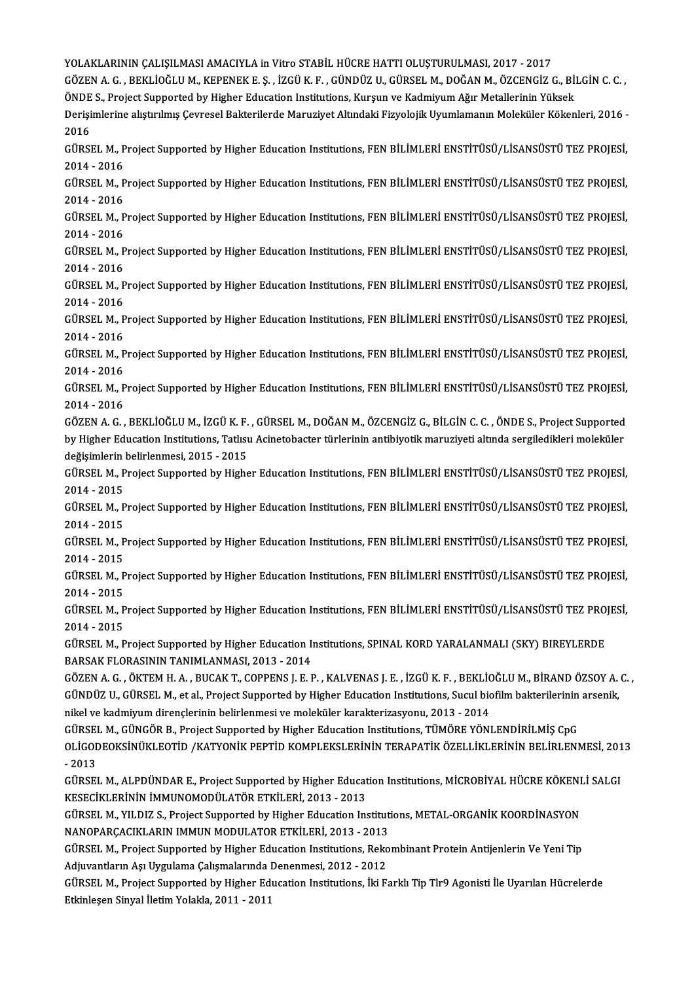YOLAKLARININ ÇALIŞILMASI AMACIYLA in Vitro STABİL HÜCRE HATTI OLUŞTURULMASI, 2017 - 2017

YOLAKLARININ ÇALIŞILMASI AMACIYLA in Vitro STABİL HÜCRE HATTI OLUŞTURULMASI, 2017 - 2017<br>GÖZEN A. G. , BEKLİOĞLU M., KEPENEK E. Ş. , İZGÜ K. F. , GÜNDÜZ U., GÜRSEL M., DOĞAN M., ÖZCENGİZ G., BİLGİN C. C. ,<br>ÖNDE S. Prejest YOLAKLARININ ÇALIŞILMASI AMACIYLA in Vitro STABİL HÜCRE HATTI OLUŞTURULMASI, 2017 - 2017<br>GÖZEN A. G. , BEKLİOĞLU M., KEPENEK E. Ş. , İZGÜ K. F. , GÜNDÜZ U., GÜRSEL M., DOĞAN M., ÖZCENGİZ G., Bİ<br>ÖNDE S., Project Supported b GÖZEN A. G. , BEKLİOĞLU M., KEPENEK E. Ş. , İZGÜ K. F. , GÜNDÜZ U., GÜRSEL M., DOĞAN M., ÖZCENGİZ G., BİLGİN C. C. ,<br>ÖNDE S., Project Supported by Higher Education Institutions, Kurşun ve Kadmiyum Ağır Metallerinin Yüksek<br>

ÖNDE<br>Derişi<br>2016<br>CÜPSI Derişimlerine alıştırılmış Çevresel Bakterilerde Maruziyet Altındaki Fizyolojik Uyumlamanın Moleküler Kökenleri, 2016 -<br>2016<br>GÜRSEL M., Project Supported by Higher Education Institutions, FEN BİLİMLERİ ENSTİTÜSÜ/LİSANSÜSTÜ

2016<br>GÜRSEL M., Project Supported by Higher Education Institutions, FEN BİLİMLERİ ENSTİTÜSÜ/LİSANSÜSTÜ TEZ PROJESİ,<br>2014 - 2016 GÜRSEL M., Project Supported by Higher Education Institutions, FEN BİLİMLERİ ENSTİTÜSÜ/LİSANSÜSTÜ TEZ PROJESİ,<br>2014 - 2016<br>GÜRSEL M., Project Supported by Higher Education Institutions, FEN BİLİMLERİ ENSTİTÜSÜ/LİSANSÜSTÜ T

2014 - 2016<br>GÜRSEL M., P<br>2014 - 2016<br>GÜRSEL M. B GÜRSEL M., Project Supported by Higher Education Institutions, FEN BİLİMLERİ ENSTİTÜSÜ/LİSANSÜSTÜ TEZ PROJESİ,<br>2014 - 2016<br>GÜRSEL M., Project Supported by Higher Education Institutions, FEN BİLİMLERİ ENSTİTÜSÜ/LİSANSÜSTÜ T

2014 - 2016<br>GÜRSEL M., P<br>2014 - 2016<br>GÜRSEL M. B GÜRSEL M., Project Supported by Higher Education Institutions, FEN BİLİMLERİ ENSTİTÜSÜ/LİSANSÜSTÜ TEZ PROJESİ,<br>2014 - 2016<br>GÜRSEL M., Project Supported by Higher Education Institutions, FEN BİLİMLERİ ENSTİTÜSÜ/LİSANSÜSTÜ T

2014 - 2016<br>GÜRSEL M., Project Supported by Higher Education Institutions, FEN BİLİMLERİ ENSTİTÜSÜ/LİSANSÜSTÜ TEZ PROJESİ,<br>2014 - 2016 GÜRSEL M., Project Supported by Higher Education Institutions, FEN BİLİMLERİ ENSTİTÜSÜ/LİSANSÜSTÜ TEZ PROJESİ,<br>2014 - 2016<br>GÜRSEL M., Project Supported by Higher Education Institutions, FEN BİLİMLERİ ENSTİTÜSÜ/LİSANSÜSTÜ T

2014 - 2016<br>GÜRSEL M., P<br>2014 - 2016<br>GÜRSEL M. B GÜRSEL M., Project Supported by Higher Education Institutions, FEN BİLİMLERİ ENSTİTÜSÜ/LİSANSÜSTÜ TEZ PROJESİ,<br>2014 - 2016<br>GÜRSEL M., Project Supported by Higher Education Institutions, FEN BİLİMLERİ ENSTİTÜSÜ/LİSANSÜSTÜ T

2014 - 2016<br>GÜRSEL M., P<br>2014 - 2016<br>GÜRSEL M. B GÜRSEL M., Project Supported by Higher Education Institutions, FEN BİLİMLERİ ENSTİTÜSÜ/LİSANSÜSTÜ TEZ PROJESİ,<br>2014 - 2016<br>GÜRSEL M., Project Supported by Higher Education Institutions, FEN BİLİMLERİ ENSTİTÜSÜ/LİSANSÜSTÜ T

2014 - 2016<br>GÜRSEL M., Project Supported by Higher Education Institutions, FEN BİLİMLERİ ENSTİTÜSÜ/LİSANSÜSTÜ TEZ PROJESİ,<br>2014 - 2016 GÜRSEL M., Project Supported by Higher Education Institutions, FEN BİLİMLERİ ENSTİTÜSÜ/LİSANSÜSTÜ TEZ PROJESİ,<br>2014 - 2016<br>GÜRSEL M., Project Supported by Higher Education Institutions, FEN BİLİMLERİ ENSTİTÜSÜ/LİSANSÜSTÜ T

2014 - 2016<br>GÜRSEL M., P<br>2014 - 2016<br>GÖZEN A. G GÜRSEL M., Project Supported by Higher Education Institutions, FEN BİLİMLERİ ENSTİTÜSÜ/LİSANSÜSTÜ TEZ PROJESİ,<br>2014 - 2016<br>GÖZEN A. G. , BEKLİOĞLU M., İZGÜ K. F. , GÜRSEL M., DOĞAN M., ÖZCENGİZ G., BİLGİN C. C. , ÖNDE S.,

2014 - 2016<br>GÖZEN A. G. , BEKLİOĞLU M., İZGÜ K. F. , GÜRSEL M., DOĞAN M., ÖZCENGİZ G., BİLGİN C. C. , ÖNDE S., Project Supported<br>by Higher Education Institutions, Tatlısu Acinetobacter türlerinin antibiyotik maruziyeti alt GÖZEN A. G. , BEKLİOĞLU M., İZGÜ K. F.<br>by Higher Education Institutions, Tatlısı<br>değişimlerin belirlenmesi, 2015 - 2015<br>CÜBSEL M. Broject Sunnerted by Highe by Higher Education Institutions, Tatlısu Acinetobacter türlerinin antibiyotik maruziyeti altında sergiledikleri moleküler<br>değişimlerin belirlenmesi, 2015 - 2015<br>GÜRSEL M., Project Supported by Higher Education Institution

değişimlerin<br>GÜRSEL M., P<br>2014 - 2015<br>GÜRSEL M. B GÜRSEL M., Project Supported by Higher Education Institutions, FEN BİLİMLERİ ENSTİTÜSÜ/LİSANSÜSTÜ TEZ PROJESİ,<br>2014 - 2015<br>GÜRSEL M., Project Supported by Higher Education Institutions, FEN BİLİMLERİ ENSTİTÜSÜ/LİSANSÜSTÜ T

2014 - 2015<br>GÜRSEL M., Project Supported by Higher Education Institutions, FEN BİLİMLERİ ENSTİTÜSÜ/LİSANSÜSTÜ TEZ PROJESİ,<br>2014 - 2015 GÜRSEL M., Project Supported by Higher Education Institutions, FEN BİLİMLERİ ENSTİTÜSÜ/LİSANSÜSTÜ TEZ PROJESİ,<br>2014 - 2015<br>GÜRSEL M., Project Supported by Higher Education Institutions, FEN BİLİMLERİ ENSTİTÜSÜ/LİSANSÜSTÜ T

2014 - 2015<br>GÜRSEL M., P<br>2014 - 2015<br>GÜRSEL M. B GÜRSEL M., Project Supported by Higher Education Institutions, FEN BİLİMLERİ ENSTİTÜSÜ/LİSANSÜSTÜ TEZ PROJESİ,<br>2014 - 2015<br>GÜRSEL M., Project Supported by Higher Education Institutions, FEN BİLİMLERİ ENSTİTÜSÜ/LİSANSÜSTÜ T

2014 - 2015<br>GÜRSEL M., Project Supported by Higher Education Institutions, FEN BİLİMLERİ ENSTİTÜSÜ/LİSANSÜSTÜ TEZ PROJESİ,<br>2014 - 2015 GÜRSEL M., Project Supported by Higher Education Institutions, FEN BİLİMLERİ ENSTİTÜSÜ/LİSANSÜSTÜ TEZ PROJESİ,<br>2014 - 2015<br>GÜRSEL M., Project Supported by Higher Education Institutions, FEN BİLİMLERİ ENSTİTÜSÜ/LİSANSÜSTÜ T

2014 - 2015<br>GÜRSEL M., P<br>2014 - 2015<br>GÜRSEL M. B GÜRSEL M., Project Supported by Higher Education Institutions, FEN BİLİMLERİ ENSTİTÜSÜ/LİSANSÜSTÜ TEZ PROJ<br>2014 - 2015<br>GÜRSEL M., Project Supported by Higher Education Institutions, SPINAL KORD YARALANMALI (SKY) BIREYLERDE

2014 - 2015<br>GÜRSEL M., Project Supported by Higher Education I<sub>I</sub><br>BARSAK FLORASININ TANIMLANMASI, 2013 - 2014<br>GÖZEN A.C., ÖYTEM H.A., BUGAK T. COPPENS L.E.I GÜRSEL M., Project Supported by Higher Education Institutions, SPINAL KORD YARALANMALI (SKY) BIREYLERDE<br>BARSAK FLORASININ TANIMLANMASI, 2013 - 2014<br>GÖZEN A. G. , ÖKTEM H. A. , BUCAK T., COPPENS J. E. P. , KALVENAS J. E. ,

BARSAK FLORASININ TANIMLANMASI, 2013 - 2014<br>GÖZEN A. G. , ÖKTEM H. A. , BUCAK T., COPPENS J. E. P. , KALVENAS J. E. , İZGÜ K. F. , BEKLİOĞLU M., BİRAND ÖZSOY A.<br>GÜNDÜZ U., GÜRSEL M., et al., Project Supported by Higher Edu GÖZEN A. G. , ÖKTEM H. A. , BUCAK T., COPPENS J. E. P. , KALVENAS J. E. , İZGÜ K. F. , BEKLİC<br>GÜNDÜZ U., GÜRSEL M., et al., Project Supported by Higher Education Institutions, Sucul bic<br>nikel ve kadmiyum dirençlerinin beli GÜNDÜZ U., GÜRSEL M., et al., Project Supported by Higher Education Institutions, Sucul biofilm bakterilerinin<br>nikel ve kadmiyum dirençlerinin belirlenmesi ve moleküler karakterizasyonu, 2013 - 2014<br>GÜRSEL M., GÜNGÖR B., P

nikel ve kadmiyum dirençlerinin belirlenmesi ve moleküler karakterizasyonu, 2013 - 2014<br>GÜRSEL M., GÜNGÖR B., Project Supported by Higher Education Institutions, TÜMÖRE YÖNLENDİRİLMİŞ CpG<br>OLİGODEOKSİNÜKLEOTİD /KATYONİK PEP GÜRSEI<br>OLİGOI<br>- 2013<br>CÜPSEI OLİGODEOKSİNÜKLEOTİD /KATYONİK PEPTİD KOMPLEKSLERİNİN TERAPATİK ÖZELLİKLERİNİN BELİRLENMESİ, 201<br>- 2013<br>GÜRSEL M., ALPDÜNDAR E., Project Supported by Higher Education Institutions, MİCROBİYAL HÜCRE KÖKENLİ SALGI<br>KESECİKI E

- 2013<br>GÜRSEL M., ALPDÜNDAR E., Project Supported by Higher Educat<br>KESECİKLERİNİN İMMUNOMODÜLATÖR ETKİLERİ, 2013 - 2013<br>GÜRSEL M. YU DIZ S. Project Supported by Higher Education In GÜRSEL M., ALPDÜNDAR E., Project Supported by Higher Education Institutions, MİCROBİYAL HÜCRE KÖKENI<br>KESECİKLERİNİN İMMUNOMODÜLATÖR ETKİLERİ, 2013 - 2013<br>GÜRSEL M., YILDIZ S., Project Supported by Higher Education Institut

KESECİKLERİNİN İMMUNOMODÜLATÖR ETKİLERİ, 2013 - 2013<br>GÜRSEL M., YILDIZ S., Project Supported by Higher Education Institutions, METAL-ORGANİK KOORDİNASYON<br>NANOPARÇACIKLARIN IMMUN MODULATOR ETKİLERİ, 2013 - 2013 GÜRSEL M., YILDIZ S., Project Supported by Higher Education Institutions, METAL-ORGANİK KOORDİNASYON<br>NANOPARÇACIKLARIN IMMUN MODULATOR ETKİLERİ, 2013 - 2013<br>GÜRSEL M., Project Supported by Higher Education Institutions, Re

NANOPARÇACIKLARIN IMMUN MODULATOR ETKİLERİ, 2013 - 2013<br>GÜRSEL M., Project Supported by Higher Education Institutions, Reko<br>Adjuvantların Aşı Uygulama Çalışmalarında Denenmesi, 2012 - 2012<br>GÜRSEL M. Project Supported by Hi GÜRSEL M., Project Supported by Higher Education Institutions, Rekombinant Protein Antijenlerin Ve Yeni Tip<br>Adjuvantların Aşı Uygulama Çalışmalarında Denenmesi, 2012 - 2012<br>GÜRSEL M., Project Supported by Higher Education

Adjuvantların Aşı Uygulama Çalışmalarında Denenmesi, 2012 - 2012<br>GÜRSEL M., Project Supported by Higher Education Institutions, İki Farklı Tip Tlr9 Agonisti İle Uyarılan Hücrelerde<br>Etkinleşen Sinyal İletim Yolakla, 2011 -